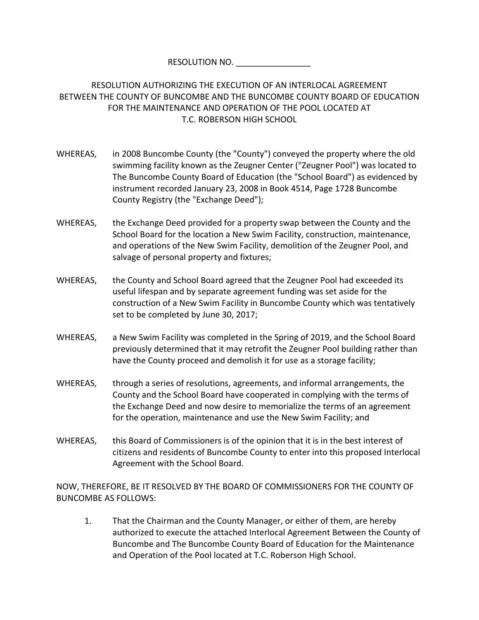RESOLUTION NO.

RESOLUTION AUTHORIZING THE EXECUTION OF AN INTERLOCAL AGREEMENT BETWEEN THE COUNTY OF BUNCOMBE AND THE BUNCOMBE COUNTY BOARD OF EDUCATION FOR THE MAINTENANCE AND OPERATION OF THE POOL LOCATED AT T.C. ROBERSON HIGH SCHOOL

- WHEREAS, in 2008 Buncombe County (the "County") conveyed the property where the old swimming facility known as the Zeugner Center ("Zeugner Pool") was located to The Buncombe County Board of Education (the "School Board") as evidenced by instrument recorded January 23, 2008 in Book 4514, Page 1728 Buncombe County Registry (the "Exchange Deed");
- WHEREAS, the Exchange Deed provided for a property swap between the County and the School Board for the location a New Swim Facility, construction, maintenance, and operations of the New Swim Facility, demolition of the Zeugner Pool, and salvage of personal property and fixtures;
- WHEREAS, the County and School Board agreed that the Zeugner Pool had exceeded its useful lifespan and by separate agreement funding was set aside for the construction of a New Swim Facility in Buncombe County which was tentatively set to be completed by June 30, 2017;
- WHEREAS, a New Swim Facility was completed in the Spring of 2019, and the School Board previously determined that it may retrofit the Zeugner Pool building rather than have the County proceed and demolish it for use as a storage facility;
- WHEREAS, through a series of resolutions, agreements, and informal arrangements, the County and the School Board have cooperated in complying with the terms of the Exchange Deed and now desire to memorialize the terms of an agreement for the operation, maintenance and use the New Swim Facility; and
- WHEREAS, this Board of Commissioners is of the opinion that it is in the best interest of citizens and residents of Buncombe County to enter into this proposed Interlocal Agreement with the School Board.

NOW, THEREFORE, BE IT RESOLVED BY THE BOARD OF COMMISSIONERS FOR THE COUNTY OF BUNCOMBE AS FOLLOWS:

1. That the Chairman and the County Manager, or either of them, are hereby authorized to execute the attached Interlocal Agreement Between the County of Buncombe and The Buncombe County Board of Education for the Maintenance and Operation of the Pool located at T.C. Roberson High School.